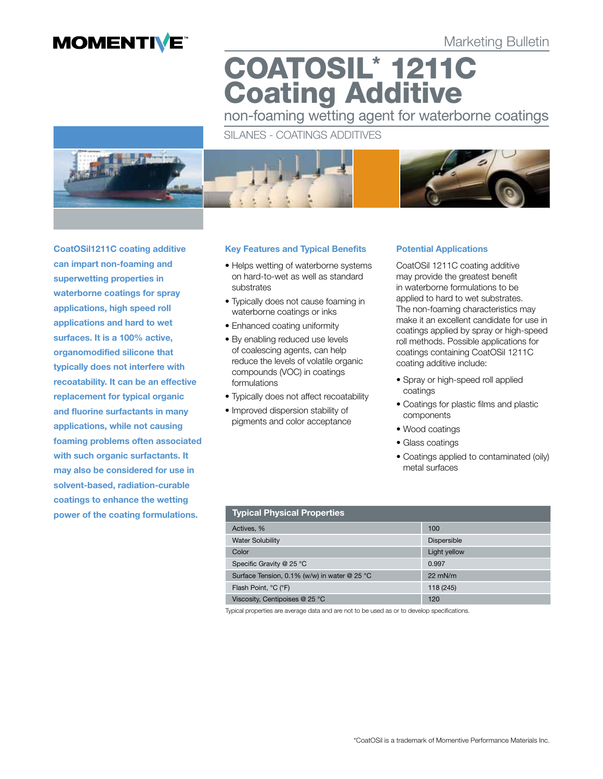# **MOMENTIVE**

Marketing Bulletin

COATOSIL\* 1211C Coating Additive

non-foaming wetting agent for waterborne coatings

# SILANES - COATINGS ADDITIVES



CoatOSil1211C coating additive can impart non-foaming and superwetting properties in waterborne coatings for spray applications, high speed roll applications and hard to wet surfaces. It is a 100% active, organomodified silicone that typically does not interfere with recoatability. It can be an effective replacement for typical organic and fluorine surfactants in many applications, while not causing foaming problems often associated with such organic surfactants. It may also be considered for use in solvent-based, radiation-curable coatings to enhance the wetting power of the coating formulations.

### Key Features and Typical Benefits

- Helps wetting of waterborne systems on hard-to-wet as well as standard substrates
- Typically does not cause foaming in waterborne coatings or inks
- Enhanced coating uniformity
- By enabling reduced use levels of coalescing agents, can help reduce the levels of volatile organic compounds (VOC) in coatings formulations
- Typically does not affect recoatability
- Improved dispersion stability of pigments and color acceptance

# Potential Applications

CoatOSil 1211C coating additive may provide the greatest benefit in waterborne formulations to be applied to hard to wet substrates. The non-foaming characteristics may make it an excellent candidate for use in coatings applied by spray or high-speed roll methods. Possible applications for coatings containing CoatOSil 1211C coating additive include:

- Spray or high-speed roll applied coatings
- • Coatings for plastic films and plastic components
- Wood coatings
- Glass coatings
- Coatings applied to contaminated (oily) metal surfaces

| <b>Typical Physical Properties</b>           |                    |  |  |  |
|----------------------------------------------|--------------------|--|--|--|
| Actives, %                                   | 100                |  |  |  |
| <b>Water Solubility</b>                      | <b>Dispersible</b> |  |  |  |
| Color                                        | Light yellow       |  |  |  |
| Specific Gravity @ 25 °C                     | 0.997              |  |  |  |
| Surface Tension, 0.1% (w/w) in water @ 25 °C | $22$ mN/m          |  |  |  |
| Flash Point, °C (°F)                         | 118 (245)          |  |  |  |
| Viscosity, Centipoises @ 25 °C               | 120                |  |  |  |

Typical properties are average data and are not to be used as or to develop specifications.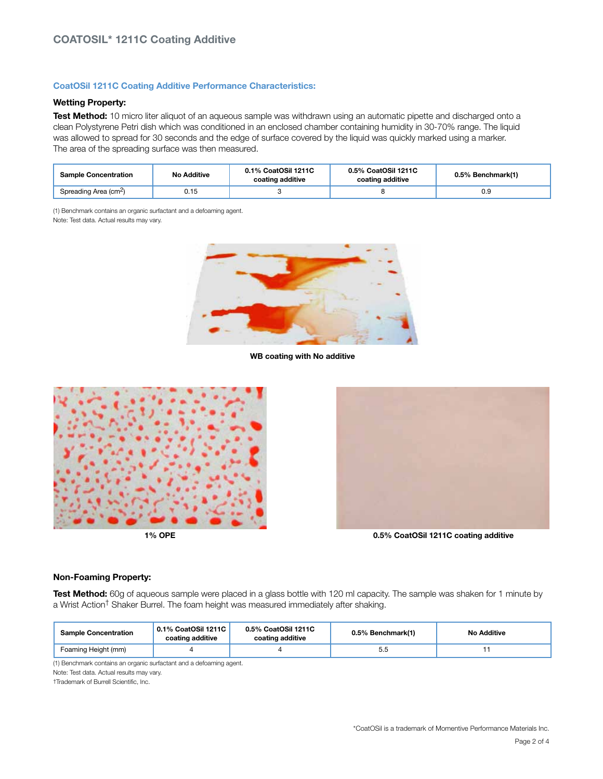### CoatOSil 1211C Coating Additive Performance Characteristics:

# Wetting Property:

Test Method: 10 micro liter aliquot of an aqueous sample was withdrawn using an automatic pipette and discharged onto a clean Polystyrene Petri dish which was conditioned in an enclosed chamber containing humidity in 30-70% range. The liquid was allowed to spread for 30 seconds and the edge of surface covered by the liquid was quickly marked using a marker. The area of the spreading surface was then measured.

| <b>Sample Concentration</b>       | <b>No Additive</b> | 0.1% CoatOSil 1211C<br>coating additive | 0.5% CoatOSil 1211C<br>coating additive | 0.5% Benchmark(1) |
|-----------------------------------|--------------------|-----------------------------------------|-----------------------------------------|-------------------|
| Spreading Area (cm <sup>2</sup> ) | 0.15               |                                         |                                         | 0.9               |

(1) Benchmark contains an organic surfactant and a defoaming agent. Note: Test data. Actual results may vary.



WB coating with No additive





1% OPE 0.5% CoatOSil 1211C coating additive

#### Non-Foaming Property:

Test Method: 60g of aqueous sample were placed in a glass bottle with 120 ml capacity. The sample was shaken for 1 minute by a Wrist Action† Shaker Burrel. The foam height was measured immediately after shaking.

| <b>Sample Concentration</b> | 0.1% CoatOSil 1211C<br>coating additive | 0.5% CoatOSil 1211C<br>coating additive | 0.5% Benchmark(1) | <b>No Additive</b> |
|-----------------------------|-----------------------------------------|-----------------------------------------|-------------------|--------------------|
| Foaming Height (mm)         |                                         |                                         | 5.5               |                    |

(1) Benchmark contains an organic surfactant and a defoaming agent.

Note: Test data. Actual results may vary.

†Trademark of Burrell Scientific, Inc.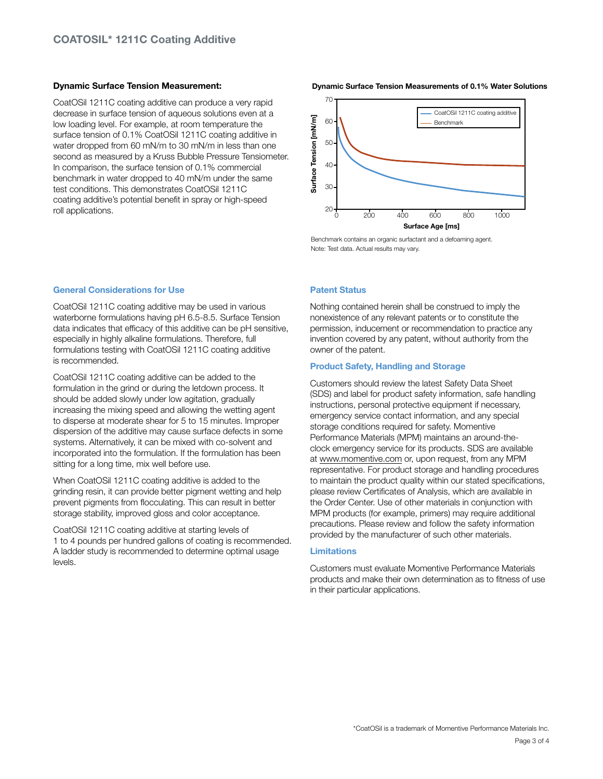#### Dynamic Surface Tension Measurement:

CoatOSil 1211C coating additive can produce a very rapid decrease in surface tension of aqueous solutions even at a low loading level. For example, at room temperature the surface tension of 0.1% CoatOSil 1211C coating additive in water dropped from 60 mN/m to 30 mN/m in less than one second as measured by a Kruss Bubble Pressure Tensiometer. In comparison, the surface tension of 0.1% commercial benchmark in water dropped to 40 mN/m under the same test conditions. This demonstrates CoatOSil 1211C coating additive's potential benefit in spray or high-speed roll applications.

#### Dynamic Surface Tension Measurements of 0.1% Water Solutions



Benchmark contains an organic surfactant and a defoaming agent. Note: Test data. Actual results may vary.

#### General Considerations for Use

CoatOSil 1211C coating additive may be used in various waterborne formulations having pH 6.5-8.5. Surface Tension data indicates that efficacy of this additive can be pH sensitive, especially in highly alkaline formulations. Therefore, full formulations testing with CoatOSil 1211C coating additive is recommended.

CoatOSil 1211C coating additive can be added to the formulation in the grind or during the letdown process. It should be added slowly under low agitation, gradually increasing the mixing speed and allowing the wetting agent to disperse at moderate shear for 5 to 15 minutes. Improper dispersion of the additive may cause surface defects in some systems. Alternatively, it can be mixed with co-solvent and incorporated into the formulation. If the formulation has been sitting for a long time, mix well before use.

When CoatOSil 1211C coating additive is added to the grinding resin, it can provide better pigment wetting and help prevent pigments from flocculating. This can result in better storage stability, improved gloss and color acceptance.

CoatOSil 1211C coating additive at starting levels of 1 to 4 pounds per hundred gallons of coating is recommended. A ladder study is recommended to determine optimal usage levels.

#### Patent Status

Nothing contained herein shall be construed to imply the nonexistence of any relevant patents or to constitute the permission, inducement or recommendation to practice any invention covered by any patent, without authority from the owner of the patent.

#### Product Safety, Handling and Storage

Customers should review the latest Safety Data Sheet (SDS) and label for product safety information, safe handling instructions, personal protective equipment if necessary, emergency service contact information, and any special storage conditions required for safety. Momentive Performance Materials (MPM) maintains an around-theclock emergency service for its products. SDS are available at www.momentive.com or, upon request, from any MPM representative. For product storage and handling procedures to maintain the product quality within our stated specifications, please review Certificates of Analysis, which are available in the Order Center. Use of other materials in conjunction with MPM products (for example, primers) may require additional precautions. Please review and follow the safety information provided by the manufacturer of such other materials.

### Limitations

Customers must evaluate Momentive Performance Materials products and make their own determination as to fitness of use in their particular applications.